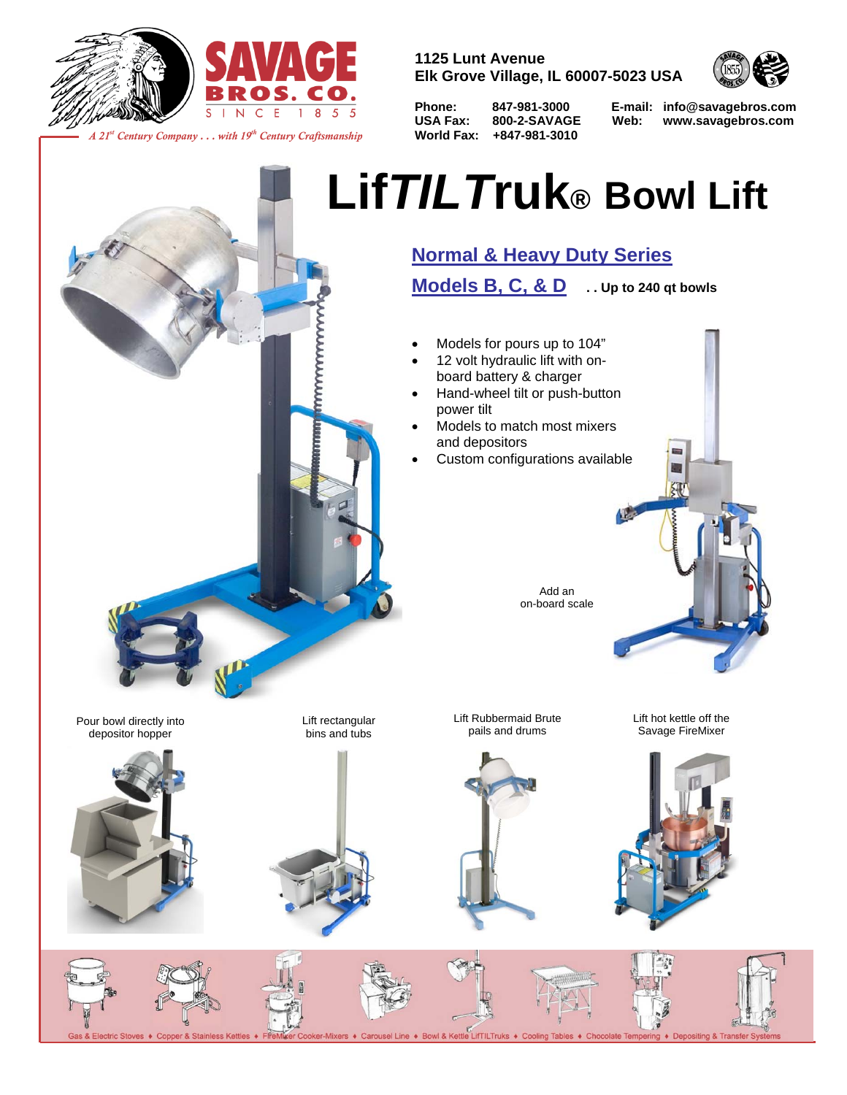



*A 21st Century Company . . . with 19th Century Craftsmanship*

**1125 Lunt Avenue Elk Grove Village, IL 60007-5023 USA**

**World Fax: +847-981-3010**



**Phone: 847-981-3000 E-mail: info@savagebros.com USA Fax: 800-2-SAVAGE Web: www.savagebros.com** 

## **Lif***TILT***ruk® Bowl Lift**

## **Normal & Heavy Duty Series**

**Models B, C, & D . . Up to 240 qt bowls**

- Models for pours up to 104"
- 12 volt hydraulic lift with onboard battery & charger
- Hand-wheel tilt or push-button power tilt
- Models to match most mixers and depositors
- Custom configurations available



Pour bowl directly into depositor hopper



I

Lift rectangular bins and tubs





Lift hot kettle off the Savage FireMixer



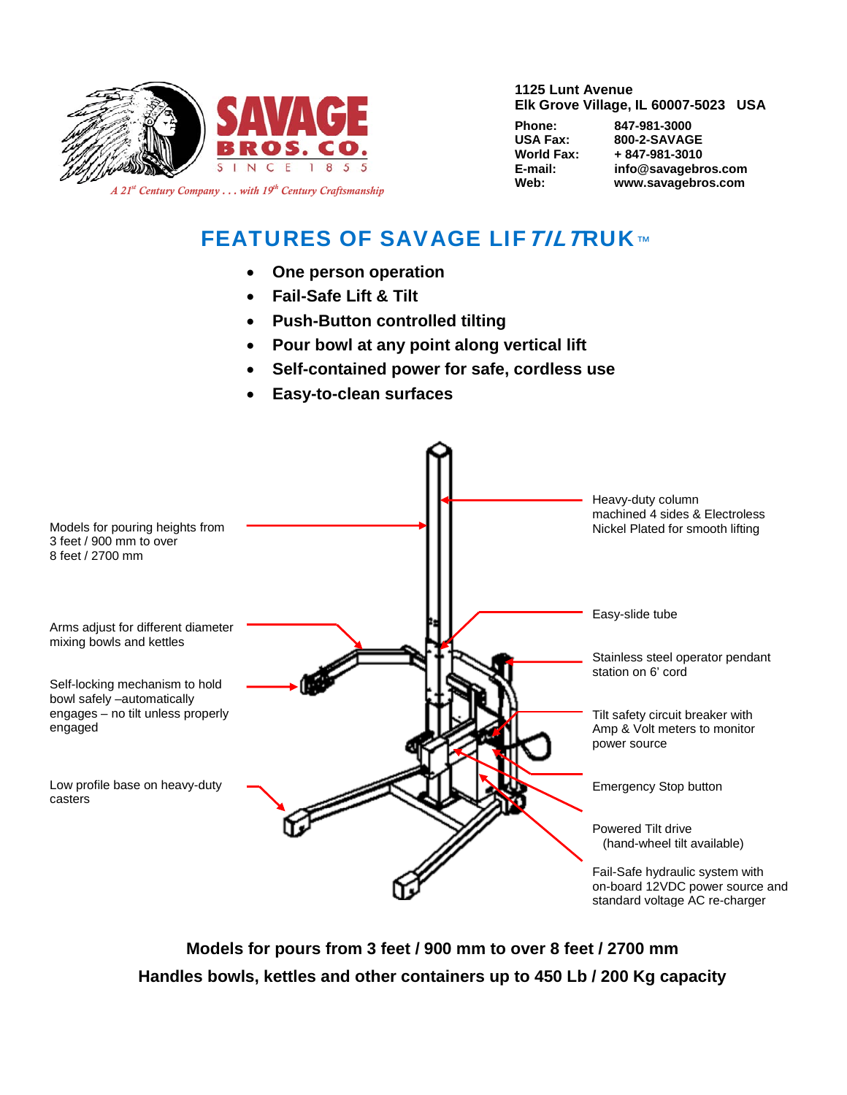

**1125 Lunt Avenue Elk Grove Village, IL 60007-5023 USA**

| rnone:    |
|-----------|
| USA Fax:  |
| World Fax |
| E-mail:   |
| Web:      |
|           |

**Phone: 847-981-3000 USA Fax: 800-2-SAVAGE**   $\cdot$  + 847-981-3010 **E-mail: info@savagebros.com Web: www.savagebros.com**

## **FEATURES OF SAVAGE LIFTILTRUK™**

- **One person operation**
- **Fail-Safe Lift & Tilt**
- **Push-Button controlled tilting**
- **Pour bowl at any point along vertical lift**
- **Self-contained power for safe, cordless use**
- **Easy-to-clean surfaces**



**Models for pours from 3 feet / 900 mm to over 8 feet / 2700 mm Handles bowls, kettles and other containers up to 450 Lb / 200 Kg capacity**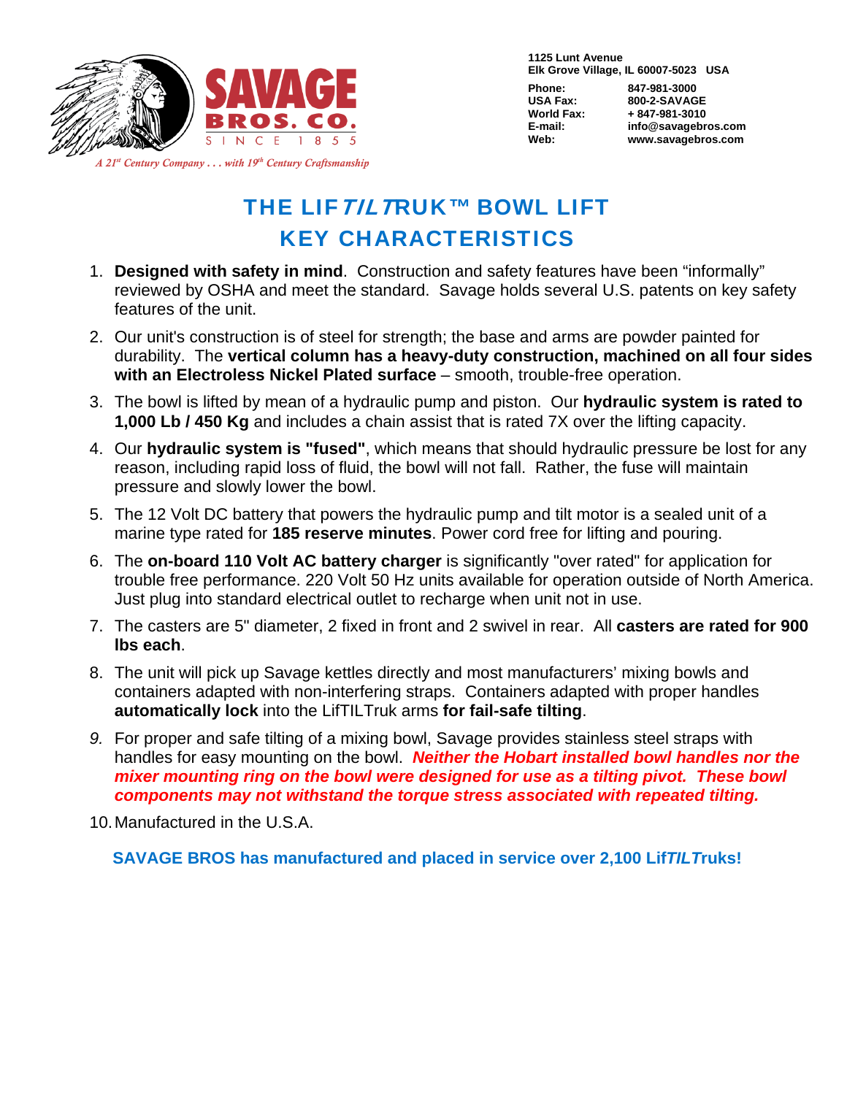

**1125 Lunt Avenue Elk Grove Village, IL 60007-5023 USA** 

**Phone: 847-981-3000 USA Fax: 800-2-SAVAGE World Fax: + 847-981-3010 E-mail: info@savagebros.com Web: www.savagebros.com** 

*A 21st Century Company . . . with 19th Century Craftsmanship*

## THE LIF TIL TRUK™ BOWL LIFT KEY CHARACTERISTICS

- 1. **Designed with safety in mind**. Construction and safety features have been "informally" reviewed by OSHA and meet the standard. Savage holds several U.S. patents on key safety features of the unit.
- 2. Our unit's construction is of steel for strength; the base and arms are powder painted for durability. The **vertical column has a heavy-duty construction, machined on all four sides with an Electroless Nickel Plated surface** – smooth, trouble-free operation.
- 3. The bowl is lifted by mean of a hydraulic pump and piston. Our **hydraulic system is rated to 1,000 Lb / 450 Kg** and includes a chain assist that is rated 7X over the lifting capacity.
- 4. Our **hydraulic system is "fused"**, which means that should hydraulic pressure be lost for any reason, including rapid loss of fluid, the bowl will not fall. Rather, the fuse will maintain pressure and slowly lower the bowl.
- 5. The 12 Volt DC battery that powers the hydraulic pump and tilt motor is a sealed unit of a marine type rated for **185 reserve minutes**. Power cord free for lifting and pouring.
- 6. The **on-board 110 Volt AC battery charger** is significantly "over rated" for application for trouble free performance. 220 Volt 50 Hz units available for operation outside of North America. Just plug into standard electrical outlet to recharge when unit not in use.
- 7. The casters are 5" diameter, 2 fixed in front and 2 swivel in rear. All **casters are rated for 900 lbs each**.
- 8. The unit will pick up Savage kettles directly and most manufacturers' mixing bowls and containers adapted with non-interfering straps. Containers adapted with proper handles **automatically lock** into the LifTILTruk arms **for fail-safe tilting**.
- *9.* For proper and safe tilting of a mixing bowl, Savage provides stainless steel straps with handles for easy mounting on the bowl. *Neither the Hobart installed bowl handles nor the mixer mounting ring on the bowl were designed for use as a tilting pivot. These bowl components may not withstand the torque stress associated with repeated tilting.*

10. Manufactured in the U.S.A.

**SAVAGE BROS has manufactured and placed in service over 2,100 Lif***TILT***ruks!**